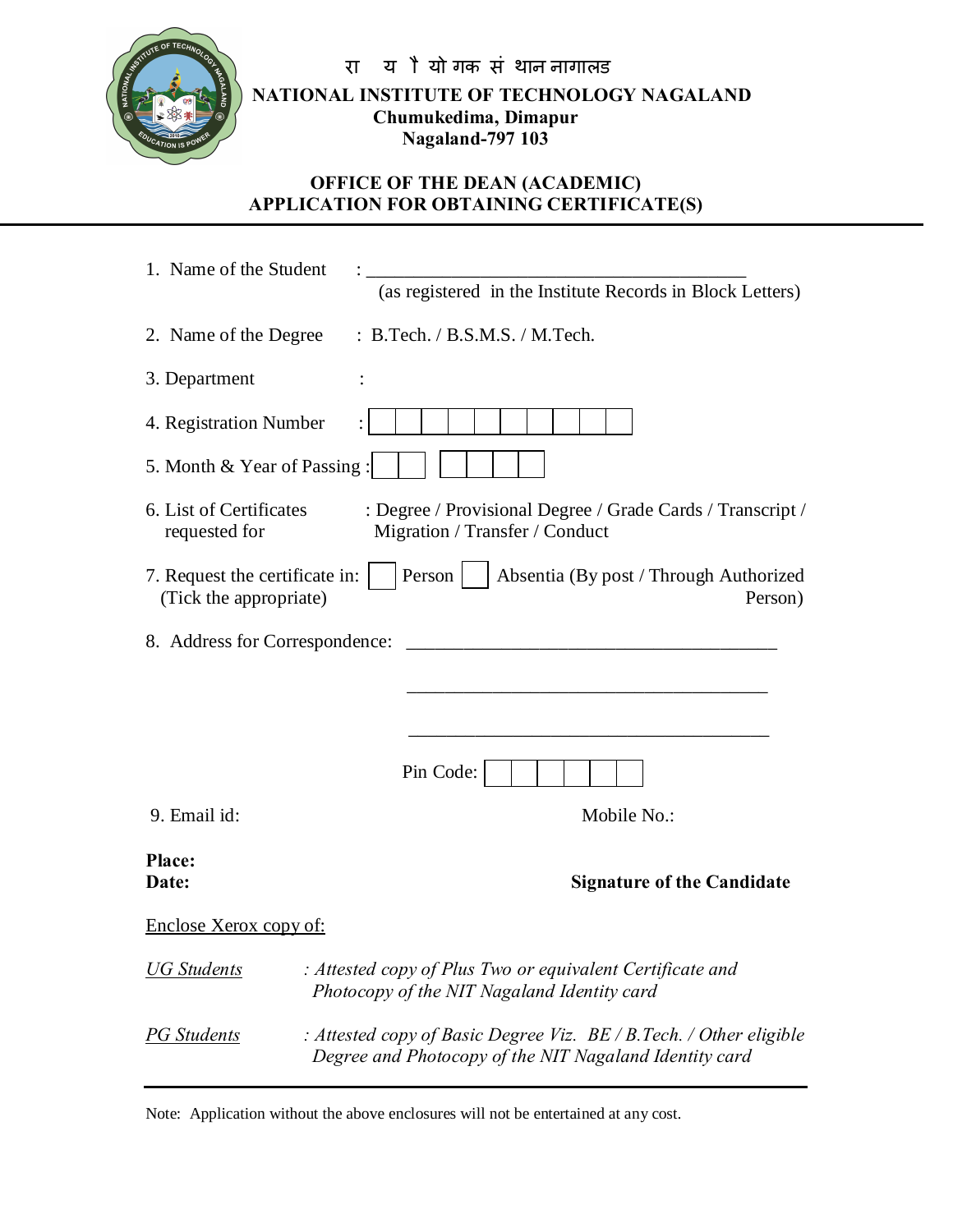

रा यो यो गक संथान नागालड **NATIONAL INSTITUTE OF TECHNOLOGY NAGALAND Chumukedima, Dimapur Nagaland-797 103**

## **OFFICE OF THE DEAN (ACADEMIC) APPLICATION FOR OBTAINING CERTIFICATE(S)**

| 1. Name of the Student                                   |                                                                                                                                |
|----------------------------------------------------------|--------------------------------------------------------------------------------------------------------------------------------|
|                                                          | (as registered in the Institute Records in Block Letters)                                                                      |
| 2. Name of the Degree                                    | : B.Tech. / B.S.M.S. / M.Tech.                                                                                                 |
| 3. Department                                            |                                                                                                                                |
| 4. Registration Number                                   |                                                                                                                                |
| 5. Month & Year of Passing:                              |                                                                                                                                |
| 6. List of Certificates<br>requested for                 | : Degree / Provisional Degree / Grade Cards / Transcript /<br>Migration / Transfer / Conduct                                   |
| 7. Request the certificate in:<br>(Tick the appropriate) | Person<br>Absentia (By post / Through Authorized<br>Person)                                                                    |
| 8. Address for Correspondence:                           |                                                                                                                                |
|                                                          |                                                                                                                                |
|                                                          |                                                                                                                                |
|                                                          |                                                                                                                                |
|                                                          | Pin Code:                                                                                                                      |
| 9. Email id:                                             | Mobile No.:                                                                                                                    |
| <b>Place:</b>                                            |                                                                                                                                |
| Date:                                                    | <b>Signature of the Candidate</b>                                                                                              |
| Enclose Xerox copy of:                                   |                                                                                                                                |
| UG Students                                              | : Attested copy of Plus Two or equivalent Certificate and<br>Photocopy of the NIT Nagaland Identity card                       |
| PG Students                                              | : Attested copy of Basic Degree Viz. $BE/B$ . Tech. / Other eligible<br>Degree and Photocopy of the NIT Nagaland Identity card |

Note: Application without the above enclosures will not be entertained at any cost.